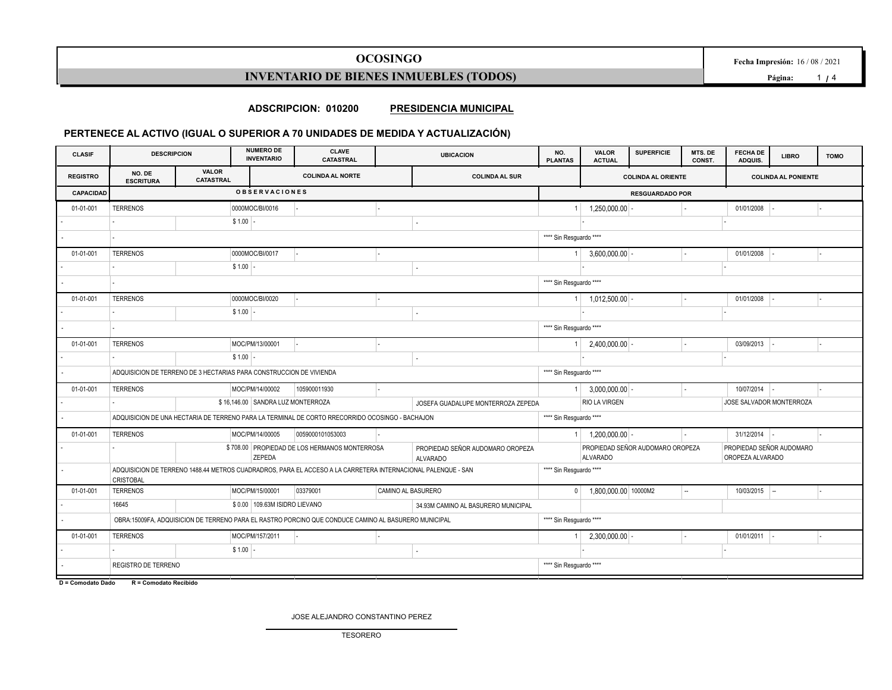## **OCOSINGO**

**Fecha Impresión:** 16 / 08 / 2021

**INVENTARIO DE BIENES INMUEBLES (TODOS)**

**Página:** 1 **/** 4

**ADSCRIPCION: 010200 PRESIDENCIA MUNICIPAL**

### **PERTENECE AL ACTIVO (IGUAL O SUPERIOR A 70 UNIDADES DE MEDIDA Y ACTUALIZACIÓN)**

| <b>CLASIF</b>    | <b>DESCRIPCION</b>                                                                                             |  | <b>NUMERO DE</b><br><b>CLAVE</b><br><b>UBICACION</b><br><b>INVENTARIO</b><br><b>CATASTRAL</b> |                                                                                                      |                                                                                                              |                                                                                                     | <b>VALOR</b><br><b>ACTUAL</b> | <b>SUPERFICIE</b>         | MTS. DE<br>CONST. | <b>FECHA DE</b><br>ADQUIS. | <b>LIBRO</b>               | <b>TOMO</b> |  |  |
|------------------|----------------------------------------------------------------------------------------------------------------|--|-----------------------------------------------------------------------------------------------|------------------------------------------------------------------------------------------------------|--------------------------------------------------------------------------------------------------------------|-----------------------------------------------------------------------------------------------------|-------------------------------|---------------------------|-------------------|----------------------------|----------------------------|-------------|--|--|
| <b>REGISTRO</b>  | <b>VALOR</b><br>NO. DE<br><b>CATASTRAL</b><br><b>ESCRITURA</b>                                                 |  |                                                                                               | <b>COLINDA AL NORTE</b>                                                                              | <b>COLINDA AL SUR</b>                                                                                        |                                                                                                     |                               | <b>COLINDA AL ORIENTE</b> |                   |                            | <b>COLINDA AL PONIENTE</b> |             |  |  |
| <b>CAPACIDAD</b> |                                                                                                                |  | <b>OBSERVACIONES</b>                                                                          |                                                                                                      | <b>RESGUARDADO POR</b>                                                                                       |                                                                                                     |                               |                           |                   |                            |                            |             |  |  |
| 01-01-001        | <b>TERRENOS</b>                                                                                                |  | 0000MOC/BI/0016                                                                               |                                                                                                      |                                                                                                              |                                                                                                     | 1,250,000.00                  |                           |                   | 01/01/2008                 |                            |             |  |  |
|                  |                                                                                                                |  | $$1.00$ -                                                                                     |                                                                                                      |                                                                                                              |                                                                                                     |                               |                           |                   |                            |                            |             |  |  |
|                  |                                                                                                                |  |                                                                                               |                                                                                                      |                                                                                                              | **** Sin Resguardo ****                                                                             |                               |                           |                   |                            |                            |             |  |  |
| 01-01-001        | <b>TERRENOS</b>                                                                                                |  | 0000MOC/BI/0017                                                                               |                                                                                                      |                                                                                                              |                                                                                                     | 3,600,000.00                  |                           |                   | 01/01/2008                 |                            |             |  |  |
|                  |                                                                                                                |  | $$1.00$ -                                                                                     |                                                                                                      |                                                                                                              |                                                                                                     |                               |                           |                   |                            |                            |             |  |  |
|                  |                                                                                                                |  |                                                                                               |                                                                                                      |                                                                                                              | **** Sin Resguardo ****                                                                             |                               |                           |                   |                            |                            |             |  |  |
| 01-01-001        | <b>TERRENOS</b>                                                                                                |  | 0000MOC/BI/0020                                                                               |                                                                                                      |                                                                                                              |                                                                                                     | 1,012,500.00                  |                           |                   | 01/01/2008                 |                            |             |  |  |
|                  |                                                                                                                |  | $$1.00$ -                                                                                     |                                                                                                      |                                                                                                              |                                                                                                     |                               |                           |                   |                            |                            |             |  |  |
|                  |                                                                                                                |  |                                                                                               |                                                                                                      |                                                                                                              | **** Sin Resguardo ****                                                                             |                               |                           |                   |                            |                            |             |  |  |
| 01-01-001        | <b>TERRENOS</b>                                                                                                |  | MOC/PM/13/00001                                                                               |                                                                                                      |                                                                                                              |                                                                                                     | 2,400,000.00                  |                           |                   | 03/09/2013                 |                            |             |  |  |
|                  |                                                                                                                |  | $$1.00$ -                                                                                     |                                                                                                      |                                                                                                              |                                                                                                     |                               |                           |                   |                            |                            |             |  |  |
|                  | ADQUISICION DE TERRENO DE 3 HECTARIAS PARA CONSTRUCCION DE VIVIENDA                                            |  |                                                                                               |                                                                                                      |                                                                                                              |                                                                                                     | **** Sin Resguardo ****       |                           |                   |                            |                            |             |  |  |
| 01-01-001        | <b>TERRENOS</b>                                                                                                |  | MOC/PM/14/00002                                                                               | 105900011930                                                                                         |                                                                                                              |                                                                                                     | 3,000,000.00                  |                           |                   | $10/07/2014$ -             |                            |             |  |  |
|                  |                                                                                                                |  | \$16,146.00 SANDRA LUZ MONTERROZA                                                             |                                                                                                      | JOSEFA GUADALUPE MONTERROZA ZEPEDA                                                                           |                                                                                                     | <b>RIO LA VIRGEN</b>          |                           |                   | JOSE SALVADOR MONTERROZA   |                            |             |  |  |
|                  |                                                                                                                |  |                                                                                               | ADQUISICION DE UNA HECTARIA DE TERRENO PARA LA TERMINAL DE CORTO RRECORRIDO OCOSINGO - BACHAJON      |                                                                                                              | **** Sin Resguardo ****                                                                             |                               |                           |                   |                            |                            |             |  |  |
| 01-01-001        | <b>TERRENOS</b>                                                                                                |  | MOC/PM/14/00005                                                                               | 0059000101053003                                                                                     |                                                                                                              |                                                                                                     | $1 \mid 1,200,000.00 \mid$    |                           |                   | $31/12/2014$ -             |                            |             |  |  |
|                  | \$708.00 PROPIEDAD DE LOS HERMANOS MONTERROSA<br>PROPIEDAD SEÑOR AUDOMARO OROPEZA<br>ZEPEDA<br><b>ALVARADO</b> |  |                                                                                               |                                                                                                      |                                                                                                              | PROPIEDAD SEÑOR AUDOMARO OROPEZA<br>PROPIEDAD SEÑOR AUDOMARO<br><b>ALVARADO</b><br>OROPEZA ALVARADO |                               |                           |                   |                            |                            |             |  |  |
|                  | <b>CRISTOBAL</b>                                                                                               |  |                                                                                               |                                                                                                      | ADQUISICION DE TERRENO 1488.44 METROS CUADRADROS, PARA EL ACCESO A LA CARRETERA INTERNACIONAL PALENQUE - SAN |                                                                                                     | **** Sin Resguardo ****       |                           |                   |                            |                            |             |  |  |
| 01-01-001        | <b>TERRENOS</b>                                                                                                |  | MOC/PM/15/00001                                                                               | 03379001                                                                                             | CAMINO AL BASURERO                                                                                           | $\mathbf{0}$                                                                                        | 1,800,000.00 10000M2          |                           | u,                | $10/03/2015$ -             |                            |             |  |  |
|                  | 16645                                                                                                          |  | \$0.00 109.63M ISIDRO LIEVANO                                                                 |                                                                                                      | 34.93M CAMINO AL BASURERO MUNICIPAL                                                                          |                                                                                                     |                               |                           |                   |                            |                            |             |  |  |
|                  |                                                                                                                |  |                                                                                               | OBRA:15009FA, ADQUISICION DE TERRENO PARA EL RASTRO PORCINO QUE CONDUCE CAMINO AL BASURERO MUNICIPAL |                                                                                                              | **** Sin Resguardo ****                                                                             |                               |                           |                   |                            |                            |             |  |  |
| 01-01-001        | <b>TERRENOS</b>                                                                                                |  | MOC/PM/157/2011                                                                               |                                                                                                      |                                                                                                              |                                                                                                     | 2,300,000.00                  |                           |                   | 01/01/2011                 |                            |             |  |  |
|                  |                                                                                                                |  | $$1.00$ -                                                                                     |                                                                                                      |                                                                                                              |                                                                                                     |                               |                           |                   |                            |                            |             |  |  |
|                  | REGISTRO DE TERRENO                                                                                            |  |                                                                                               |                                                                                                      |                                                                                                              | **** Sin Resguardo ****                                                                             |                               |                           |                   |                            |                            |             |  |  |
|                  |                                                                                                                |  |                                                                                               |                                                                                                      |                                                                                                              |                                                                                                     |                               |                           |                   |                            |                            |             |  |  |

**D = Comodato Dado R = Comodato Recibido**

JOSE ALEJANDRO CONSTANTINO PEREZ TESORERO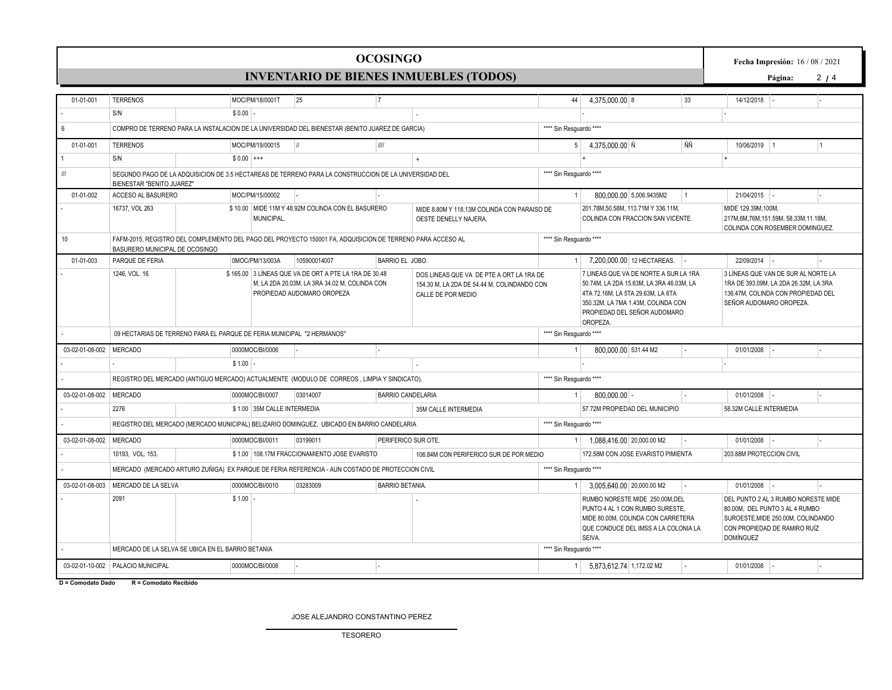#### TESORERO

JOSE ALEJANDRO CONSTANTINO PEREZ

**D = Comodato Dado R = Comodato Recibido**

| 01-01-001                           | <b>TERRENOS</b>                                                                                                                              |                                                                        | MOC/PM/18/0001T                                                                                 | 25                                                                                                                                                                                                                                                    | 7                        |                                                                      | 44                                                                                                                                                                                                       | 4,375,000.00 8            |                                                                                                                                                 | 33        | 14/12/2018                                                                                                                                                      |           |  |  |  |  |  |
|-------------------------------------|----------------------------------------------------------------------------------------------------------------------------------------------|------------------------------------------------------------------------|-------------------------------------------------------------------------------------------------|-------------------------------------------------------------------------------------------------------------------------------------------------------------------------------------------------------------------------------------------------------|--------------------------|----------------------------------------------------------------------|----------------------------------------------------------------------------------------------------------------------------------------------------------------------------------------------------------|---------------------------|-------------------------------------------------------------------------------------------------------------------------------------------------|-----------|-----------------------------------------------------------------------------------------------------------------------------------------------------------------|-----------|--|--|--|--|--|
|                                     | S/N                                                                                                                                          | $$0.00$ -                                                              |                                                                                                 |                                                                                                                                                                                                                                                       |                          |                                                                      |                                                                                                                                                                                                          |                           |                                                                                                                                                 |           |                                                                                                                                                                 |           |  |  |  |  |  |
| 6                                   | COMPRO DE TERRENO PARA LA INSTALACION DE LA UNIVERSIDAD DEL BIENESTAR (BENITO JUAREZ DE GARCIA)                                              |                                                                        |                                                                                                 |                                                                                                                                                                                                                                                       |                          |                                                                      |                                                                                                                                                                                                          | **** Sin Resguardo ****   |                                                                                                                                                 |           |                                                                                                                                                                 |           |  |  |  |  |  |
| 01-01-001                           | <b>TERRENOS</b>                                                                                                                              |                                                                        | MOC/PM/19/00015                                                                                 | $\parallel$                                                                                                                                                                                                                                           | III                      |                                                                      | 5 <sup>1</sup>                                                                                                                                                                                           | 4,375,000.00 Ñ            |                                                                                                                                                 | ÑÑ        | 10/06/2019 1                                                                                                                                                    | $\vert$ 1 |  |  |  |  |  |
|                                     | S/N                                                                                                                                          | $$0.00$ +++                                                            |                                                                                                 |                                                                                                                                                                                                                                                       |                          |                                                                      |                                                                                                                                                                                                          |                           |                                                                                                                                                 |           |                                                                                                                                                                 |           |  |  |  |  |  |
| $\ensuremath{/\!\!/\!\!/\!\!/\!\!}$ | BIENESTAR "BENITO JUAREZ"                                                                                                                    |                                                                        |                                                                                                 | SEGUNDO PAGO DE LA ADQUISICION DE 3.5 HECTAREAS DE TERRENO PARA LA CONSTRUCCION DE LA UNIVERSIDAD DEL                                                                                                                                                 | **** Sin Resguardo ****  |                                                                      |                                                                                                                                                                                                          |                           |                                                                                                                                                 |           |                                                                                                                                                                 |           |  |  |  |  |  |
| 01-01-002                           | ACCESO AL BASURERO                                                                                                                           |                                                                        | MOC/PM/15/00002                                                                                 |                                                                                                                                                                                                                                                       |                          |                                                                      | $\overline{1}$                                                                                                                                                                                           |                           | 800,000.00 5,006.9435M2                                                                                                                         | $\vert$ 1 | 21/04/2015                                                                                                                                                      |           |  |  |  |  |  |
|                                     | 16737, VOL 263                                                                                                                               |                                                                        | MUNICIPAL.                                                                                      | \$10.00 MIDE 11M Y 48.92M COLINDA CON EL BASURERO                                                                                                                                                                                                     |                          | MIDE 8.80M Y 118.13M COLINDA CON PARAISO DE<br>OESTE DENELLY NAJERA. |                                                                                                                                                                                                          |                           | 201.78M,50.58M, 113.71M Y 336.11M,<br>COLINDA CON FRACCION SAN VICENTE.                                                                         |           | MIDE 129.39M, 100M,<br>217M, 6M, 76M, 151.59M, 58.33M, 11.18M,<br>COLINDA CON ROSEMBER DOMINGUEZ.                                                               |           |  |  |  |  |  |
| 10                                  | FAFM-2015, REGISTRO DEL COMPLEMENTO DEL PAGO DEL PROYECTO 150001 FA, ADQUISICION DE TERRENO PARA ACCESO AL<br>BASURERO MUNICIPAL DE OCOSINGO |                                                                        |                                                                                                 |                                                                                                                                                                                                                                                       |                          |                                                                      | **** Sin Resguardo ****                                                                                                                                                                                  |                           |                                                                                                                                                 |           |                                                                                                                                                                 |           |  |  |  |  |  |
| 01-01-003                           | PARQUE DE FERIA                                                                                                                              |                                                                        | 0MOC/PM/13/003A                                                                                 | 105900014007                                                                                                                                                                                                                                          | BARRIO EL JOBO.          |                                                                      |                                                                                                                                                                                                          |                           | 7.200.000.00 12 HECTAREAS.                                                                                                                      |           | 22/09/2014                                                                                                                                                      |           |  |  |  |  |  |
|                                     | 1246, VOL. 16                                                                                                                                |                                                                        |                                                                                                 | \$165.00 3 LÍNEAS QUE VA DE ORT A PTE LA 1RA DE 30.48<br>DOS LINEAS QUE VA DE PTE A ORT LA 1RA DE<br>M, LA 2DA 20.03M, LA 3RA 34.02 M, COLINDA CON<br>154.30 M, LA 2DA DE 54.44 M, COLINDANDO CON<br>PROPIEDAD AUDOMARO OROPEZA<br>CALLE DE POR MEDIO |                          |                                                                      | 7 LINEAS QUE VA DE NORTE A SUR LA 1RA<br>50.74M, LA 2DA 15.63M, LA 3RA 46.03M, LA<br>4TA 72.16M, LA 5TA 29.63M, LA 6TA<br>350.32M, LA 7MA 1.43M, COLINDA CON<br>PROPIEDAD DEL SEÑOR AUDOMARO<br>OROPEZA. |                           |                                                                                                                                                 |           | 3 LÍNEAS QUE VAN DE SUR AL NORTE LA<br>1RA DE 393.09M, LA 2DA 26.32M, LA 3RA<br>136.47M. COLINDA CON PROPIEDAD DEL<br>SEÑOR AUDOMARO OROPEZA.                   |           |  |  |  |  |  |
|                                     |                                                                                                                                              | 09 HECTARIAS DE TERRENO PARA EL PARQUE DE FERIA MUNICIPAL "2 HERMANOS" |                                                                                                 |                                                                                                                                                                                                                                                       |                          |                                                                      | **** Sin Resguardo ****                                                                                                                                                                                  |                           |                                                                                                                                                 |           |                                                                                                                                                                 |           |  |  |  |  |  |
| 03-02-01-08-002 MERCADO             |                                                                                                                                              |                                                                        | 0000MOC/BI/0006                                                                                 |                                                                                                                                                                                                                                                       |                          |                                                                      |                                                                                                                                                                                                          | 800.000.00 531.44 M2      |                                                                                                                                                 |           | 01/01/2008                                                                                                                                                      |           |  |  |  |  |  |
|                                     |                                                                                                                                              | $$1.00 -$                                                              |                                                                                                 |                                                                                                                                                                                                                                                       |                          |                                                                      |                                                                                                                                                                                                          |                           |                                                                                                                                                 |           |                                                                                                                                                                 |           |  |  |  |  |  |
|                                     |                                                                                                                                              |                                                                        |                                                                                                 | REGISTRO DEL MERCADO (ANTIGUO MERCADO) ACTUALMENTE (MODULO DE CORREOS, LIMPIA Y SINDICATO).                                                                                                                                                           |                          |                                                                      | **** Sin Resguardo ****                                                                                                                                                                                  |                           |                                                                                                                                                 |           |                                                                                                                                                                 |           |  |  |  |  |  |
| 03-02-01-08-002 MERCADO             |                                                                                                                                              |                                                                        | 0000MOC/BI/0007                                                                                 | 03014007                                                                                                                                                                                                                                              | <b>BARRIO CANDELARIA</b> |                                                                      |                                                                                                                                                                                                          | $800,000.00$ -            |                                                                                                                                                 |           | 01/01/2008                                                                                                                                                      |           |  |  |  |  |  |
|                                     | 2276                                                                                                                                         |                                                                        | \$1.00 35M CALLE INTERMEDIA                                                                     |                                                                                                                                                                                                                                                       |                          | 35M CALLE INTERMEDIA                                                 |                                                                                                                                                                                                          |                           | 57.72M PROPIEDAD DEL MUNICIPIO                                                                                                                  |           | 58.32M CALLE INTERMEDIA                                                                                                                                         |           |  |  |  |  |  |
|                                     |                                                                                                                                              |                                                                        |                                                                                                 | REGISTRO DEL MERCADO (MERCADO MUNICIPAL) BELIZARIO DOMINGUEZ, UBICADO EN BARRIO CANDELARIA                                                                                                                                                            |                          |                                                                      | **** Sin Resguardo ****                                                                                                                                                                                  |                           |                                                                                                                                                 |           |                                                                                                                                                                 |           |  |  |  |  |  |
| 03-02-01-08-002 MERCADO             |                                                                                                                                              |                                                                        | 0000MOC/BI/0011                                                                                 | 03199011                                                                                                                                                                                                                                              | PERIFERICO SUR OTE.      |                                                                      |                                                                                                                                                                                                          | 1.088.416.00 20,000.00 M2 |                                                                                                                                                 |           | 01/01/2008                                                                                                                                                      |           |  |  |  |  |  |
|                                     | 10193, VOL. 153.                                                                                                                             |                                                                        |                                                                                                 | \$1.00 108.17M FRACCIONAMIENTO JOSE EVARISTO                                                                                                                                                                                                          |                          | 106,84M CON PERIFERICO SUR DE POR MEDIO                              |                                                                                                                                                                                                          |                           | 172.58M CON JOSE EVARISTO PIMIENTA                                                                                                              |           | 203.88M PROTECCION CIVIL                                                                                                                                        |           |  |  |  |  |  |
|                                     |                                                                                                                                              |                                                                        | MERCADO (MERCADO ARTURO ZUÑIGA) EX PARQUE DE FERIA REFERENCIA - AUN COSTADO DE PROTECCION CIVIL | **** Sin Resguardo ****                                                                                                                                                                                                                               |                          |                                                                      |                                                                                                                                                                                                          |                           |                                                                                                                                                 |           |                                                                                                                                                                 |           |  |  |  |  |  |
| 03-02-01-08-003                     | MERCADO DE LA SELVA                                                                                                                          |                                                                        | 0000MOC/BI/0010                                                                                 | 03283009                                                                                                                                                                                                                                              | <b>BARRIO BETANIA.</b>   |                                                                      |                                                                                                                                                                                                          | 3,005,640.00 20,000.00 M2 |                                                                                                                                                 |           | $01/01/2008$ -                                                                                                                                                  |           |  |  |  |  |  |
|                                     | 2091                                                                                                                                         | \$1.00                                                                 |                                                                                                 |                                                                                                                                                                                                                                                       |                          |                                                                      |                                                                                                                                                                                                          | SEIVA.                    | RUMBO NORESTE MIDE 250,00M.DEL<br>PUNTO 4 AL 1 CON RUMBO SURESTE,<br>MIDE 80.00M, COLINDA CON CARRETERA<br>QUE CONDUCE DEL IMSS A LA COLONIA LA |           | DEL PUNTO 2 AL 3 RUMBO NORESTE MIDE<br>80.00M, DEL PUNTO 3 AL 4 RUMBO<br>SUROESTE, MIDE 250.00M, COLINDANDO<br>CON PROPIEDAD DE RAMIRO RUÍZ<br><b>DOMÍNGUEZ</b> |           |  |  |  |  |  |
|                                     | MERCADO DE LA SELVA SE UBICA EN EL BARRIO BETANIA                                                                                            |                                                                        | **** Sin Resguardo ****                                                                         |                                                                                                                                                                                                                                                       |                          |                                                                      |                                                                                                                                                                                                          |                           |                                                                                                                                                 |           |                                                                                                                                                                 |           |  |  |  |  |  |
|                                     |                                                                                                                                              |                                                                        |                                                                                                 |                                                                                                                                                                                                                                                       |                          |                                                                      |                                                                                                                                                                                                          |                           |                                                                                                                                                 |           |                                                                                                                                                                 |           |  |  |  |  |  |

**OCOSINGO**

**INVENTARIO DE BIENES INMUEBLES (TODOS)**

**Fecha Impresión:** 16 / 08 / 2021

**Página:** 2 **/** 4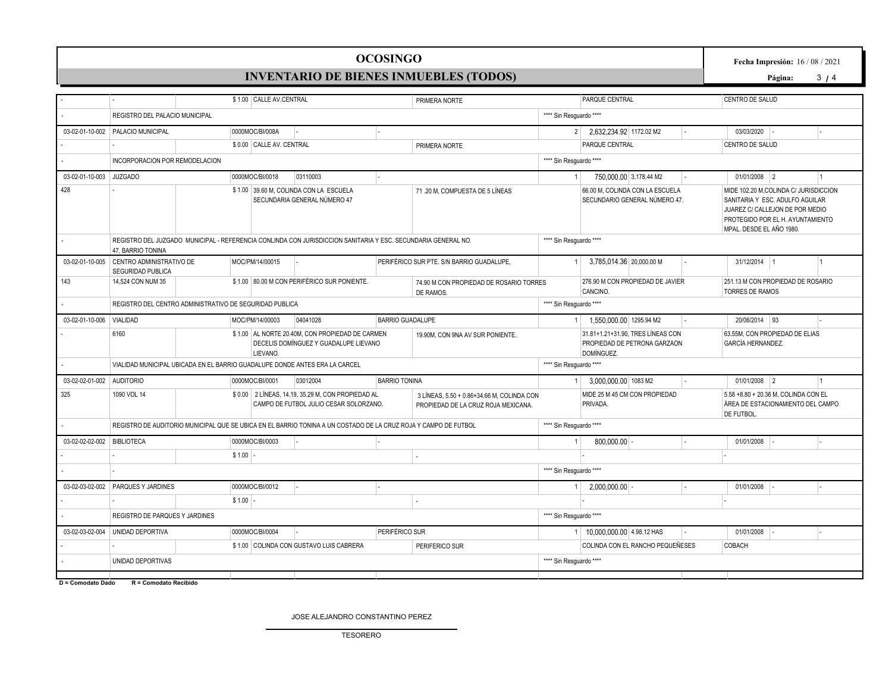## **OCOSINGO**

# **INVENTARIO DE BIENES INMUEBLES (TODOS)**

**Fecha Impresión:** 16 / 08 / 2021

**Página:** 3 **/** 4

|                            |                                                                                                                                    | \$1.00 CALLE AV.CENTRAL                                                                                                                                   |                                                                                             |                         | PRIMERA NORTE                                                                     |                         | PARQUE CENTRAL                            |                                                                   |                   | CENTRO DE SALUD                                                                                                                                                              |  |                |  |
|----------------------------|------------------------------------------------------------------------------------------------------------------------------------|-----------------------------------------------------------------------------------------------------------------------------------------------------------|---------------------------------------------------------------------------------------------|-------------------------|-----------------------------------------------------------------------------------|-------------------------|-------------------------------------------|-------------------------------------------------------------------|-------------------|------------------------------------------------------------------------------------------------------------------------------------------------------------------------------|--|----------------|--|
|                            | REGISTRO DEL PALACIO MUNICIPAL                                                                                                     |                                                                                                                                                           |                                                                                             |                         |                                                                                   |                         | **** Sin Resquardo ****                   |                                                                   |                   |                                                                                                                                                                              |  |                |  |
|                            | 03-02-01-10-002 PALACIO MUNICIPAL                                                                                                  | 0000MOC/BI/008A                                                                                                                                           |                                                                                             |                         |                                                                                   | 2 <sup>2</sup>          | 2,632,234.92 1172.02 M2                   |                                                                   |                   | 03/03/2020                                                                                                                                                                   |  | L.             |  |
|                            |                                                                                                                                    | \$0.00 CALLE AV. CENTRAL                                                                                                                                  |                                                                                             |                         | PRIMERA NORTE                                                                     |                         | PARQUE CENTRAL                            |                                                                   |                   | CENTRO DE SALUD                                                                                                                                                              |  |                |  |
|                            | INCORPORACION POR REMODELACION                                                                                                     |                                                                                                                                                           |                                                                                             |                         |                                                                                   | **** Sin Resquardo **** |                                           |                                                                   |                   |                                                                                                                                                                              |  |                |  |
| 03-02-01-10-003 JUZGADO    |                                                                                                                                    | 0000MOC/BI/0018                                                                                                                                           | 03110003                                                                                    |                         |                                                                                   |                         | 750,000.00 3,178.44 M2                    |                                                                   |                   | $01/01/2008$ 2                                                                                                                                                               |  | $\vert$ 1      |  |
| 428                        |                                                                                                                                    |                                                                                                                                                           | \$1.00 39.60 M, COLINDA CON LA ESCUELA<br>SECUNDARIA GENERAL NÚMERO 47                      |                         | 71.20 M, COMPUESTA DE 5 LÍNEAS                                                    |                         |                                           | 66.00 M, COLINDA CON LA ESCUELA<br>SECUNDARIO GENERAL NÚMERO 47.  |                   | MIDE 102.20 M, COLINDA C/ JURISDICCION<br>SANITARIA Y ESC. ADULFO AGUILAR<br>JUAREZ C/ CALLEJON DE POR MEDIO<br>PROTEGIDO POR EL H. AYUNTAMIENTO<br>MPAL. DESDE EL AÑO 1980. |  |                |  |
|                            | REGISTRO DEL JUZGADO MUNICIPAL - REFERENCIA CONLINDA CON JURISDICCION SANITARIA Y ESC. SECUNDARIA GENERAL NO.<br>47. BARRIO TONINA |                                                                                                                                                           | **** Sin Resguardo ****                                                                     |                         |                                                                                   |                         |                                           |                                                                   |                   |                                                                                                                                                                              |  |                |  |
| 03-02-01-10-005            | CENTRO ADMINISTRATIVO DE<br><b>SEGURIDAD PUBLICA</b>                                                                               | MOC/PM/14/00015                                                                                                                                           |                                                                                             |                         | PERIFÉRICO SUR PTE. S/N BARRIO GUADALUPE,                                         |                         | 3,785,014.36 20,000.00 M                  |                                                                   |                   | 31/12/2014 1                                                                                                                                                                 |  | $\overline{1}$ |  |
| 143                        | 14,524 CON NUM 35                                                                                                                  | \$1.00 80.00 M CON PERIFÉRICO SUR PONIENTE.<br>276.90 M CON PROPIEDAD DE JAVIER<br>74.90 M CON PROPIEDAD DE ROSARIO TORRES<br><b>CANCINO</b><br>DE RAMOS. |                                                                                             |                         |                                                                                   |                         |                                           |                                                                   |                   | 251.13 M CON PROPIEDAD DE ROSARIO<br><b>TORRES DE RAMOS</b>                                                                                                                  |  |                |  |
|                            | REGISTRO DEL CENTRO ADMINISTRATIVO DE SEGURIDAD PUBLICA                                                                            |                                                                                                                                                           |                                                                                             | **** Sin Resguardo **** |                                                                                   |                         |                                           |                                                                   |                   |                                                                                                                                                                              |  |                |  |
| 03-02-01-10-006            | VIALIDAD                                                                                                                           | MOC/PM/14/00003                                                                                                                                           | 04041028                                                                                    | <b>BARRIO GUADALUPE</b> |                                                                                   |                         | 1,550,000.00 1295.94 M2                   |                                                                   |                   | 20/06/2014 93                                                                                                                                                                |  |                |  |
|                            | 6160<br>\$1.00 AL NORTE 20.40M, CON PROPIEDAD DE CARMEN<br>DECELIS DOMÍNGUEZ Y GUADALUPE LIEVANO<br><b>LIEVANO</b>                 |                                                                                                                                                           |                                                                                             |                         | 19.90M, CON 9NA AV SUR PONIENTE.                                                  |                         | DOMÍNGUEZ.                                | 31.81+1.21+31.90, TRES LÍNEAS CON<br>PROPIEDAD DE PETRONA GARZAON | GARCÍA HERNANDEZ. | 63.55M. CON PROPIEDAD DE ELIAS                                                                                                                                               |  |                |  |
|                            | VIALIDAD MUNICIPAL UBICADA EN EL BARRIO GUADALUPE DONDE ANTES ERA LA CARCEL                                                        |                                                                                                                                                           |                                                                                             |                         |                                                                                   | **** Sin Resguardo **** |                                           |                                                                   |                   |                                                                                                                                                                              |  |                |  |
| 03-02-02-01-002 AUDITORIO  |                                                                                                                                    | 0000MOC/BI/0001                                                                                                                                           | 03012004                                                                                    | <b>BARRIO TONINA</b>    |                                                                                   |                         | 3,000,000.00 1083 M2                      |                                                                   |                   | $01/01/2008$ 2                                                                                                                                                               |  | $\vert$ 1      |  |
| 325                        | 1090 VOL 14                                                                                                                        |                                                                                                                                                           | \$0.00 2 LÍNEAS, 14.19, 35.29 M, CON PROPIEDAD AL<br>CAMPO DE FUTBOL JULIO CESAR SOLORZANO. |                         | 3 LÍNEAS, 5.50 + 0.86+34.66 M, COLINDA CON<br>PROPIEDAD DE LA CRUZ ROJA MEXICANA. |                         | MIDE 25 M 45 CM CON PROPIEDAD<br>PRIVADA. |                                                                   |                   | 5.58 +8.80 + 20.36 M, COLINDA CON EL<br>ÁREA DE ESTACIONAMIENTO DEL CAMPO<br><b>DE FUTBOL</b>                                                                                |  |                |  |
|                            | REGISTRO DE AUDITORIO MUNICIPAL QUE SE UBICA EN EL BARRIO TONINA A UN COSTADO DE LA CRUZ ROJA Y CAMPO DE FUTBOL                    |                                                                                                                                                           |                                                                                             |                         |                                                                                   | **** Sin Resquardo **** |                                           |                                                                   |                   |                                                                                                                                                                              |  |                |  |
| 03-02-02-02-002 BIBLIOTECA |                                                                                                                                    | 0000MOC/BI/0003                                                                                                                                           |                                                                                             |                         |                                                                                   |                         | $800,000.00$ -                            |                                                                   |                   | 01/01/2008                                                                                                                                                                   |  |                |  |
|                            |                                                                                                                                    | $$1.00$ -                                                                                                                                                 |                                                                                             |                         |                                                                                   |                         |                                           |                                                                   |                   |                                                                                                                                                                              |  |                |  |
|                            |                                                                                                                                    |                                                                                                                                                           |                                                                                             |                         |                                                                                   | **** Sin Resguardo **** |                                           |                                                                   |                   |                                                                                                                                                                              |  |                |  |
| 03-02-03-02-002            | <b>PARQUES Y JARDINES</b>                                                                                                          | 0000MOC/BI/0012                                                                                                                                           |                                                                                             |                         |                                                                                   |                         | 2.000.000.00                              |                                                                   |                   | 01/01/2008                                                                                                                                                                   |  |                |  |
|                            |                                                                                                                                    | \$1.00                                                                                                                                                    |                                                                                             |                         |                                                                                   |                         |                                           |                                                                   |                   |                                                                                                                                                                              |  |                |  |
|                            | REGISTRO DE PARQUES Y JARDINES                                                                                                     |                                                                                                                                                           |                                                                                             |                         |                                                                                   | **** Sin Resquardo **** |                                           |                                                                   |                   |                                                                                                                                                                              |  |                |  |
| 03-02-03-02-004            | UNIDAD DEPORTIVA                                                                                                                   | 0000MOC/BI/0004                                                                                                                                           |                                                                                             | PERIFÉRICO SUR          |                                                                                   |                         | 1 10.000.000.00 4.98.12 HAS               |                                                                   |                   | 01/01/2008                                                                                                                                                                   |  |                |  |
|                            |                                                                                                                                    |                                                                                                                                                           | \$1.00 COLINDA CON GUSTAVO LUIS CABRERA                                                     |                         | PERIFERICO SUR                                                                    |                         |                                           | COLINDA CON EL RANCHO PEQUEÑESES                                  |                   | <b>COBACH</b>                                                                                                                                                                |  |                |  |
|                            | UNIDAD DEPORTIVAS                                                                                                                  | **** Sin Resquardo ****                                                                                                                                   |                                                                                             |                         |                                                                                   |                         |                                           |                                                                   |                   |                                                                                                                                                                              |  |                |  |

JOSE ALEJANDRO CONSTANTINO PEREZ

TESORERO